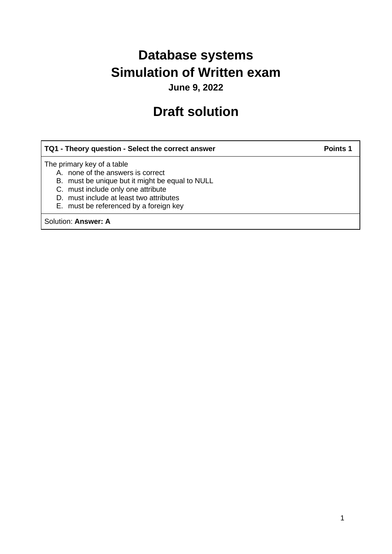# **Database systems Simulation of Written exam**

**June 9, 2022**

# **Draft solution**

# **TQ1 - Theory question - Select the correct answer Points 1** Points 1

The primary key of a table

- A. none of the answers is correct
- B. must be unique but it might be equal to NULL
- C. must include only one attribute
- D. must include at least two attributes
- E. must be referenced by a foreign key

Solution: **Answer: A**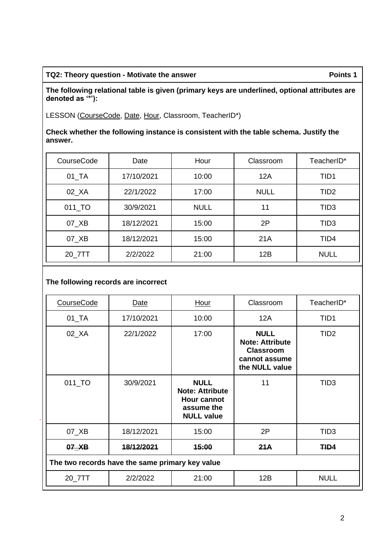#### TQ2: Theory question - Motivate the answer **Points 1** Points 1

**The following relational table is given (primary keys are underlined, optional attributes are denoted as '\*'):**

LESSON (CourseCode, Date, Hour, Classroom, TeacherID\*)

**Check whether the following instance is consistent with the table schema. Justify the answer.**

| CourseCode           | Date       | Hour        | Classroom   | TeacherID*       |
|----------------------|------------|-------------|-------------|------------------|
| $01$ <sub>_</sub> TA | 17/10/2021 | 10:00       | 12A         | TID1             |
| 02_XA                | 22/1/2022  | 17:00       | <b>NULL</b> | TID <sub>2</sub> |
| 011_TO               | 30/9/2021  | <b>NULL</b> | 11          | TID <sub>3</sub> |
| 07_XB                | 18/12/2021 | 15:00       | 2P          | TID <sub>3</sub> |
| 07_XB                | 18/12/2021 | 15:00       | 21A         | TID4             |
| 20_7TT               | 2/2/2022   | 21:00       | 12B         | <b>NULL</b>      |

# **The following records are incorrect**

| CourseCode                                      | Date       | <b>Hour</b>                                                                                    | Classroom                                                                                    | TeacherID*       |  |  |
|-------------------------------------------------|------------|------------------------------------------------------------------------------------------------|----------------------------------------------------------------------------------------------|------------------|--|--|
| $01$ <sub>_</sub> TA                            | 17/10/2021 | 10:00                                                                                          | 12A                                                                                          | TID <sub>1</sub> |  |  |
| $02$ <sub><math>X</math>A</sub>                 | 22/1/2022  | 17:00                                                                                          | <b>NULL</b><br><b>Note: Attribute</b><br><b>Classroom</b><br>cannot assume<br>the NULL value | TID <sub>2</sub> |  |  |
| 011_TO                                          | 30/9/2021  | <b>NULL</b><br><b>Note: Attribute</b><br><b>Hour cannot</b><br>assume the<br><b>NULL value</b> | 11                                                                                           | TID <sub>3</sub> |  |  |
| 07_XB                                           | 18/12/2021 | 15:00                                                                                          | 2P                                                                                           | TID <sub>3</sub> |  |  |
| $07$ $X$ B                                      | 18/12/2021 | 15:00                                                                                          | 21A                                                                                          | THD4             |  |  |
| The two records have the same primary key value |            |                                                                                                |                                                                                              |                  |  |  |
| 20_7TT                                          | 2/2/2022   | 21:00                                                                                          | 12B                                                                                          | <b>NULL</b>      |  |  |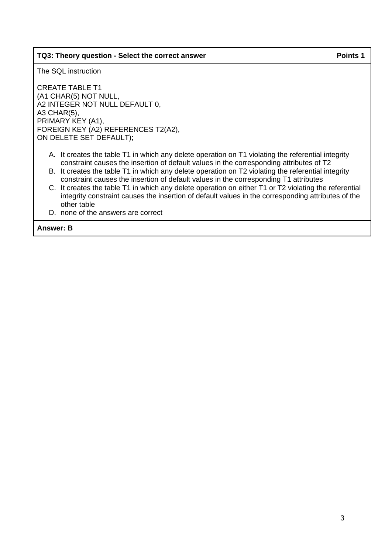### **TQ3: Theory question - Select the correct answer Points 1** Points 1

The SQL instruction

CREATE TABLE T1 (A1 CHAR(5) NOT NULL, A2 INTEGER NOT NULL DEFAULT 0, A3 CHAR(5), PRIMARY KEY (A1), FOREIGN KEY (A2) REFERENCES T2(A2), ON DELETE SET DEFAULT);

- A. It creates the table T1 in which any delete operation on T1 violating the referential integrity constraint causes the insertion of default values in the corresponding attributes of T2
- B. It creates the table T1 in which any delete operation on T2 violating the referential integrity constraint causes the insertion of default values in the corresponding T1 attributes
- C. It creates the table T1 in which any delete operation on either T1 or T2 violating the referential integrity constraint causes the insertion of default values in the corresponding attributes of the other table
- D. none of the answers are correct

**Answer: B**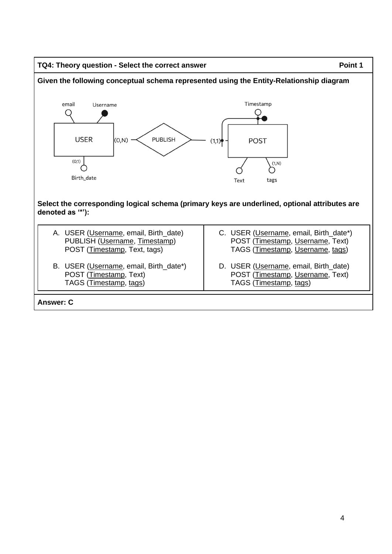#### TQ4: Theory question - Select the correct answer **Point 1** Point 1

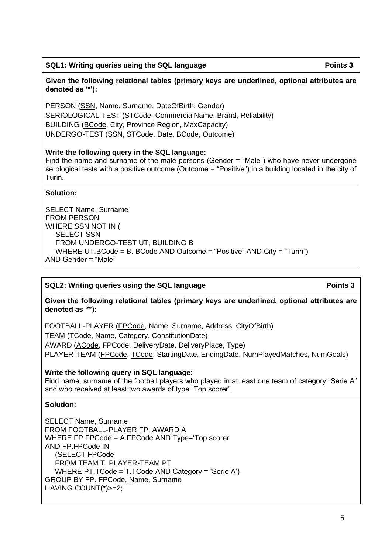**Given the following relational tables (primary keys are underlined, optional attributes are denoted as '\*'):**

PERSON (SSN, Name, Surname, DateOfBirth, Gender) SERIOLOGICAL-TEST (STCode, CommercialName, Brand, Reliability) BUILDING (BCode, City, Province Region, MaxCapacity) UNDERGO-TEST (SSN, STCode, Date, BCode, Outcome)

## **Write the following query in the SQL language:**

Find the name and surname of the male persons (Gender = "Male") who have never undergone serological tests with a positive outcome (Outcome = "Positive") in a building located in the city of Turin.

# **Solution:**

SELECT Name, Surname FROM PERSON WHERE SSN NOT IN ( SELECT SSN FROM UNDERGO-TEST UT, BUILDING B WHERE UT.BCode = B. BCode AND Outcome = "Positive" AND City = "Turin") AND Gender = "Male"

# **SQL2:** Writing queries using the SQL language **Points 3**

**Given the following relational tables (primary keys are underlined, optional attributes are denoted as '\*'):**

FOOTBALL-PLAYER (FPCode, Name, Surname, Address, CityOfBirth) TEAM (TCode, Name, Category, ConstitutionDate) AWARD (ACode, FPCode, DeliveryDate, DeliveryPlace, Type) PLAYER-TEAM (FPCode, TCode, StartingDate, EndingDate, NumPlayedMatches, NumGoals)

# **Write the following query in SQL language:**

Find name, surname of the football players who played in at least one team of category "Serie A" and who received at least two awards of type "Top scorer".

### **Solution:**

SELECT Name, Surname FROM FOOTBALL-PLAYER FP, AWARD A WHERE FP.FPCode = A.FPCode AND Type='Top scorer' AND FP.FPCode IN (SELECT FPCode FROM TEAM T, PLAYER-TEAM PT WHERE PT.TCode = T.TCode AND Category = 'Serie A') GROUP BY FP. FPCode, Name, Surname HAVING COUNT(\*)>=2;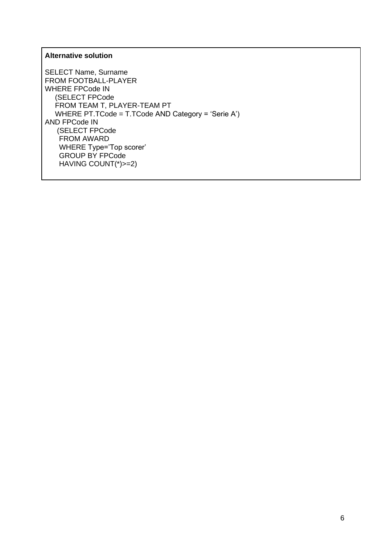## **Alternative solution**

SELECT Name, Surname FROM FOOTBALL-PLAYER WHERE FPCode IN (SELECT FPCode FROM TEAM T, PLAYER-TEAM PT WHERE PT.TCode = T.TCode AND Category = 'Serie A') AND FPCode IN (SELECT FPCode FROM AWARD WHERE Type='Top scorer' GROUP BY FPCode HAVING COUNT(\*)>=2)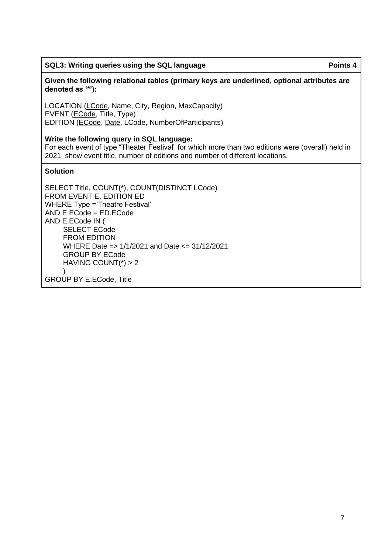### **SQL3: Writing queries using the SQL language Points 4** Points 4

LOCATION (LCode, Name, City, Region, MaxCapacity) EVENT (ECode, Title, Type) EDITION (ECode, Date, LCode, NumberOfParticipants)

## **Write the following query in SQL language:**

For each event of type "Theater Festival" for which more than two editions were (overall) held in 2021, show event title, number of editions and number of different locations.

## **Solution**

SELECT Title, COUNT(\*), COUNT(DISTINCT LCode) FROM EVENT E, EDITION ED WHERE Type ='Theatre Festival' AND E.ECode = ED.ECode AND E.ECode IN ( SELECT ECode FROM EDITION WHERE Date => 1/1/2021 and Date <= 31/12/2021 GROUP BY ECode HAVING COUNT(\*) > 2 )

GROUP BY E.ECode, Title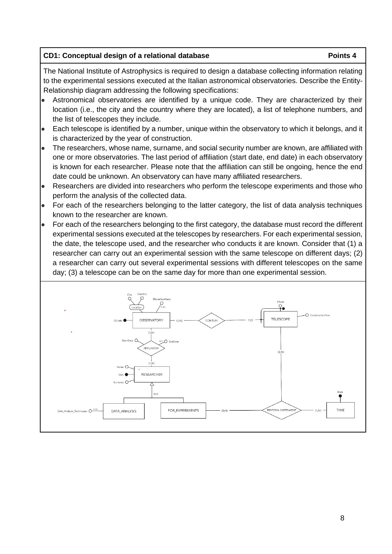# **CD1:** Conceptual design of a relational database **Points 4** Points 4

The National Institute of Astrophysics is required to design a database collecting information relating to the experimental sessions executed at the Italian astronomical observatories. Describe the Entity-Relationship diagram addressing the following specifications:

- Astronomical observatories are identified by a unique code. They are characterized by their location (i.e., the city and the country where they are located), a list of telephone numbers, and the list of telescopes they include.
- Each telescope is identified by a number, unique within the observatory to which it belongs, and it is characterized by the year of construction.
- The researchers, whose name, surname, and social security number are known, are affiliated with one or more observatories. The last period of affiliation (start date, end date) in each observatory is known for each researcher. Please note that the affiliation can still be ongoing, hence the end date could be unknown. An observatory can have many affiliated researchers.
- Researchers are divided into researchers who perform the telescope experiments and those who perform the analysis of the collected data.
- For each of the researchers belonging to the latter category, the list of data analysis techniques known to the researcher are known.
- For each of the researchers belonging to the first category, the database must record the different experimental sessions executed at the telescopes by researchers. For each experimental session, the date, the telescope used, and the researcher who conducts it are known. Consider that (1) a researcher can carry out an experimental session with the same telescope on different days; (2) a researcher can carry out several experimental sessions with different telescopes on the same day; (3) a telescope can be on the same day for more than one experimental session.

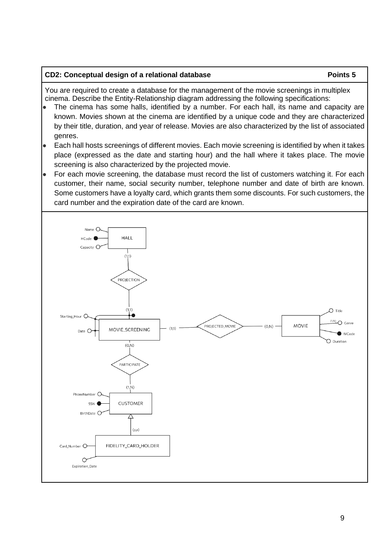#### **CD2: Conceptual design of a relational database <b>Points 5** Points 5

You are required to create a database for the management of the movie screenings in multiplex cinema. Describe the Entity-Relationship diagram addressing the following specifications:

- The cinema has some halls, identified by a number. For each hall, its name and capacity are known. Movies shown at the cinema are identified by a unique code and they are characterized by their title, duration, and year of release. Movies are also characterized by the list of associated genres.
- Each hall hosts screenings of different movies. Each movie screening is identified by when it takes place (expressed as the date and starting hour) and the hall where it takes place. The movie screening is also characterized by the projected movie.
- For each movie screening, the database must record the list of customers watching it. For each customer, their name, social security number, telephone number and date of birth are known. Some customers have a loyalty card, which grants them some discounts. For such customers, the card number and the expiration date of the card are known.

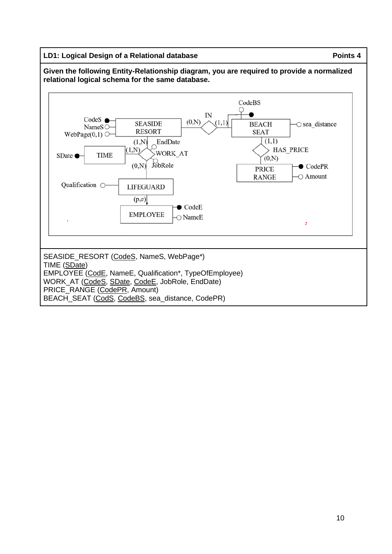## **LD1:** Logical Design of a Relational database **Points 4** Points 4